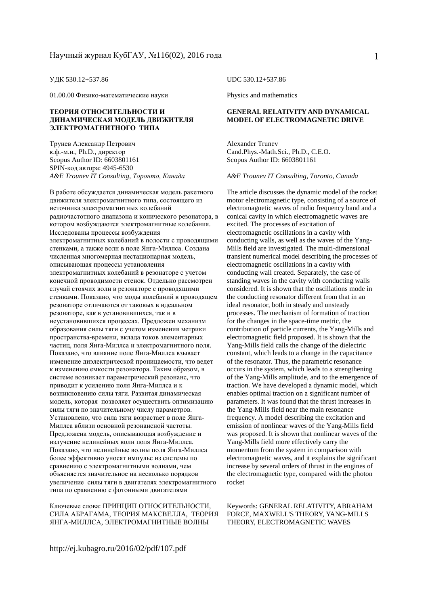01.00.00 Физико-математические науки Physics and mathematics

#### **ТЕОРИЯ ОТНОСИТЕЛЬНОСТИ И ДИНАМИЧЕСКАЯ МОДЕЛЬ ДВИЖИТЕЛЯ ЭЛЕКТРОМАГНИТНОГО ТИПА**

Трунев Александр Петрович к.ф.-м.н., Ph.D., директор Scopus Author ID: 6603801161 SPIN-код автора: 4945-6530 *A&E Trounev IT Consulting, Торонто, Канада A&E Trounev IT Consulting, Toronto, Canada* 

В работе обсуждается динамическая модель ракетного движителя электромагнитного типа, состоящего из источника электромагнитных колебаний радиочастотного диапазона и конического резонатора, в котором возбуждаются электромагнитные колебания. Исследованы процессы возбуждения электромагнитных колебаний в полости с проводящими стенками, а также волн в поле Янга-Миллса. Создана численная многомерная нестационарная модель, описывающая процессы установления электромагнитных колебаний в резонаторе с учетом конечной проводимости стенок. Отдельно рассмотрен случай стоячих волн в резонаторе с проводящими стенками. Показано, что моды колебаний в проводящем резонаторе отличаются от таковых в идеальном резонаторе, как в установившихся, так и в неустановившихся процессах. Предложен механизм образования силы тяги с учетом изменения метрики пространства-времени, вклада токов элементарных частиц, поля Янга-Миллса и электромагнитного поля. Показано, что влияние поле Янга-Миллса взывает изменение диэлектрической проницаемости, что ведет к изменению емкости резонатора. Таким образом, в системе возникает параметрический резонанс, что приводит к усилению поля Янга-Миллса и к возникновению силы тяги. Развитая динамическая модель, которая позволяет осуществить оптимизацию силы тяги по значительному числу параметров. Установлено, что сила тяги возрастает в поле Янга-Миллса вблизи основной резонансной частоты. Предложена модель, описывающая возбуждение и излучение нелинейных волн поля Янга-Миллса. Показано, что нелинейные волны поля Янга-Миллса более эффективно уносят импульс из системы по сравнению с электромагнитными волнами, чем объясняется значительное на несколько порядков увеличение силы тяги в двигателях электромагнитного типа по сравнению с фотонными двигателями

Ключевые слова: ПРИНЦИП ОТНОСИТЕЛЬНОСТИ, СИЛА АБРАГАМА, ТЕОРИЯ МАКСВЕЛЛА, ТЕОРИЯ ЯНГА-МИЛЛСА, ЭЛЕКТРОМАГНИТНЫЕ ВОЛНЫ

УДК 530.12+537.86 UDC 530.12+537.86

#### **GENERAL RELATIVITY AND DYNAMICAL MODEL OF ELECTROMAGNETIC DRIVE**

Alexander Trunev Cand.Phys.-Math.Sci., Ph.D., C.E.O. Scopus Author ID: 6603801161

The article discusses the dynamic model of the rocket motor electromagnetic type, consisting of a source of electromagnetic waves of radio frequency band and a conical cavity in which electromagnetic waves are excited. The processes of excitation of electromagnetic oscillations in a cavity with conducting walls, as well as the waves of the Yang-Mills field are investigated. The multi-dimensional transient numerical model describing the processes of electromagnetic oscillations in a cavity with conducting wall created. Separately, the case of standing waves in the cavity with conducting walls considered. It is shown that the oscillations mode in the conducting resonator different from that in an ideal resonator, both in steady and unsteady processes. The mechanism of formation of traction for the changes in the space-time metric, the contribution of particle currents, the Yang-Mills and electromagnetic field proposed. It is shown that the Yang-Mills field calls the change of the dielectric constant, which leads to a change in the capacitance of the resonator. Thus, the parametric resonance occurs in the system, which leads to a strengthening of the Yang-Mills amplitude, and to the emergence of traction. We have developed a dynamic model, which enables optimal traction on a significant number of parameters. It was found that the thrust increases in the Yang-Mills field near the main resonance frequency. A model describing the excitation and emission of nonlinear waves of the Yang-Mills field was proposed. It is shown that nonlinear waves of the Yang-Mills field more effectively carry the momentum from the system in comparison with electromagnetic waves, and it explains the significant increase by several orders of thrust in the engines of the electromagnetic type, compared with the photon rocket

Keywords: GENERAL RELATIVITY, ABRAHAM FORCE, MAXWELL'S THEORY, YANG-MILLS THEORY, ELECTROMAGNETIC WAVES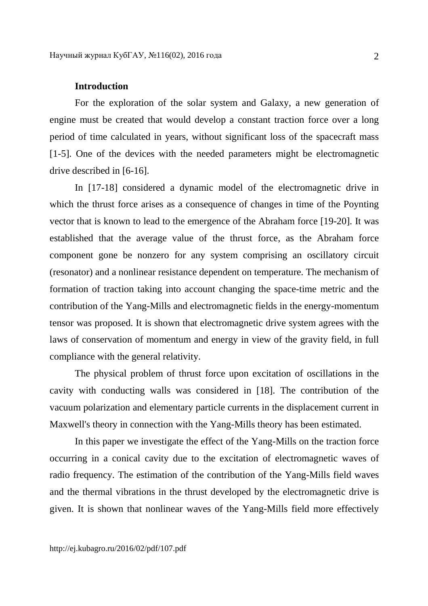## **Introduction**

For the exploration of the solar system and Galaxy, a new generation of engine must be created that would develop a constant traction force over a long period of time calculated in years, without significant loss of the spacecraft mass [1-5]. One of the devices with the needed parameters might be electromagnetic drive described in [6-16].

In [17-18] considered a dynamic model of the electromagnetic drive in which the thrust force arises as a consequence of changes in time of the Poynting vector that is known to lead to the emergence of the Abraham force [19-20]. It was established that the average value of the thrust force, as the Abraham force component gone be nonzero for any system comprising an oscillatory circuit (resonator) and a nonlinear resistance dependent on temperature. The mechanism of formation of traction taking into account changing the space-time metric and the contribution of the Yang-Mills and electromagnetic fields in the energy-momentum tensor was proposed. It is shown that electromagnetic drive system agrees with the laws of conservation of momentum and energy in view of the gravity field, in full compliance with the general relativity.

The physical problem of thrust force upon excitation of oscillations in the cavity with conducting walls was considered in [18]. The contribution of the vacuum polarization and elementary particle currents in the displacement current in Maxwell's theory in connection with the Yang-Mills theory has been estimated.

In this paper we investigate the effect of the Yang-Mills on the traction force occurring in a conical cavity due to the excitation of electromagnetic waves of radio frequency. The estimation of the contribution of the Yang-Mills field waves and the thermal vibrations in the thrust developed by the electromagnetic drive is given. It is shown that nonlinear waves of the Yang-Mills field more effectively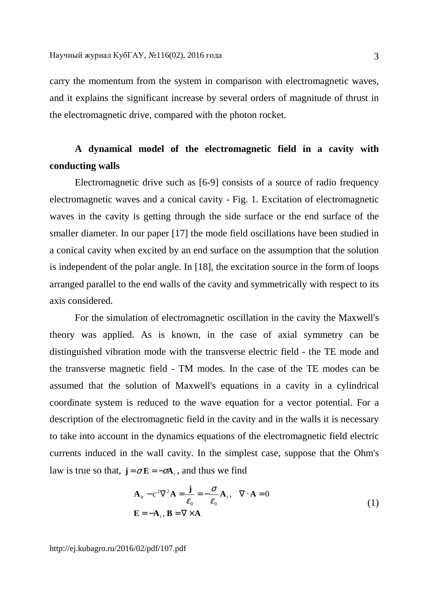carry the momentum from the system in comparison with electromagnetic waves, and it explains the significant increase by several orders of magnitude of thrust in the electromagnetic drive, compared with the photon rocket.

# **A dynamical model of the electromagnetic field in a cavity with conducting walls**

Electromagnetic drive such as [6-9] consists of a source of radio frequency electromagnetic waves and a conical cavity - Fig. 1. Excitation of electromagnetic waves in the cavity is getting through the side surface or the end surface of the smaller diameter. In our paper [17] the mode field oscillations have been studied in a conical cavity when excited by an end surface on the assumption that the solution is independent of the polar angle. In [18], the excitation source in the form of loops arranged parallel to the end walls of the cavity and symmetrically with respect to its axis considered.

For the simulation of electromagnetic oscillation in the cavity the Maxwell's theory was applied. As is known, in the case of axial symmetry can be distinguished vibration mode with the transverse electric field - the TE mode and the transverse magnetic field - TM modes. In the case of the TE modes can be assumed that the solution of Maxwell's equations in a cavity in a cylindrical coordinate system is reduced to the wave equation for a vector potential. For a description of the electromagnetic field in the cavity and in the walls it is necessary to take into account in the dynamics equations of the electromagnetic field electric currents induced in the wall cavity. In the simplest case, suppose that the Ohm's law is true so that,  $\mathbf{j} = \sigma \mathbf{E} = -\sigma \mathbf{A}_t$ , and thus we find

$$
\mathbf{A}_{tt} - c^2 \nabla^2 \mathbf{A} = \frac{\mathbf{j}}{\varepsilon_0} = -\frac{\sigma}{\varepsilon_0} \mathbf{A}_t, \quad \nabla \cdot \mathbf{A} = 0
$$
\n
$$
\mathbf{E} = -\mathbf{A}_t, \quad \mathbf{B} = \nabla \times \mathbf{A}
$$
\n(1)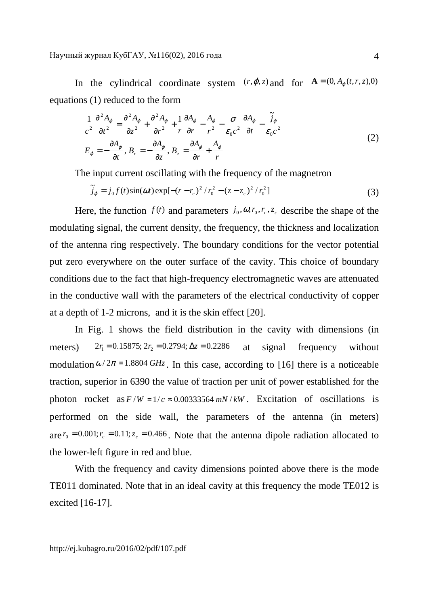In the cylindrical coordinate system  $(r, \varphi, z)$  and for  $\mathbf{A} = (0, A_{\varphi}(t, r, z), 0)$ equations (1) reduced to the form

$$
\frac{1}{c^2} \frac{\partial^2 A_{\varphi}}{\partial t^2} = \frac{\partial^2 A_{\varphi}}{\partial z^2} + \frac{\partial^2 A_{\varphi}}{\partial r^2} + \frac{1}{r} \frac{\partial A_{\varphi}}{\partial r} - \frac{A_{\varphi}}{r^2} - \frac{\sigma}{\varepsilon_0 c^2} \frac{\partial A_{\varphi}}{\partial t} - \frac{\tilde{j}_{\varphi}}{\varepsilon_0 c^2}
$$
\n
$$
E_{\varphi} = -\frac{\partial A_{\varphi}}{\partial t}, B_{r} = -\frac{\partial A_{\varphi}}{\partial z}, B_{z} = \frac{\partial A_{\varphi}}{\partial r} + \frac{A_{\varphi}}{r}
$$
\n(2)

The input current oscillating with the frequency of the magnetron

$$
\tilde{j}_{\varphi} = j_0 f(t) \sin(\omega t) \exp[-(r - r_c)^2 / r_0^2 - (z - z_c)^2 / r_0^2]
$$
\n(3)

Here, the function  $f(t)$  and parameters  $j_0$ ,  $\omega$ ,  $r_c$ ,  $z_c$ , describe the shape of the modulating signal, the current density, the frequency, the thickness and localization of the antenna ring respectively. The boundary conditions for the vector potential put zero everywhere on the outer surface of the cavity. This choice of boundary conditions due to the fact that high-frequency electromagnetic waves are attenuated in the conductive wall with the parameters of the electrical conductivity of copper at a depth of 1-2 microns, and it is the skin effect [20].

In Fig. 1 shows the field distribution in the cavity with dimensions (in meters)  $2r_1 = 0.15875$ ;  $2r_2 = 0.2794$ ;  $\Delta z = 0.2286$  at signal frequency without modulation  $\omega/2\pi = 1.8804$  *GHz*. In this case, according to [16] there is a noticeable traction, superior in 6390 the value of traction per unit of power established for the photon rocket as  $F/W = 1/c \approx 0.00333564$  *mN* / *kW* . Excitation of oscillations is performed on the side wall, the parameters of the antenna (in meters) are  $r_0 = 0.001$ ;  $r_c = 0.11$ ;  $z_c = 0.466$ . Note that the antenna dipole radiation allocated to the lower-left figure in red and blue.

With the frequency and cavity dimensions pointed above there is the mode TE011 dominated. Note that in an ideal cavity at this frequency the mode TE012 is excited [16-17].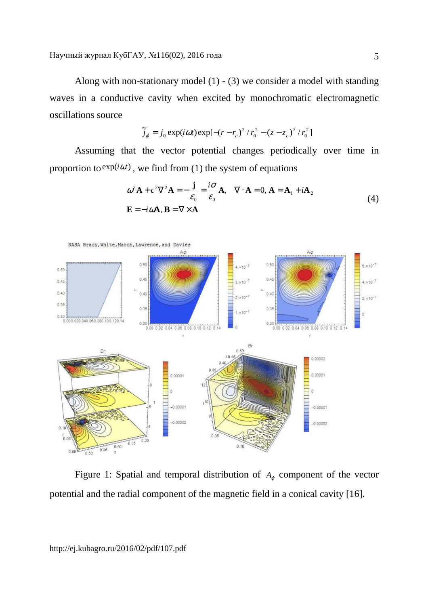Along with non-stationary model  $(1)$  -  $(3)$  we consider a model with standing waves in a conductive cavity when excited by monochromatic electromagnetic oscillations source

$$
\widetilde{J}_{\varphi} = j_0 \exp(i\omega t) \exp[-(r - r_c)^2 / r_0^2 - (z - z_c)^2 / r_0^2]
$$

Assuming that the vector potential changes periodically over time in proportion to  $exp(i\omega t)$ , we find from (1) the system of equations

$$
\omega^{2} \mathbf{A} + c^{2} \nabla^{2} \mathbf{A} = -\frac{\mathbf{j}}{\varepsilon_{0}} = \frac{i\sigma}{\varepsilon_{0}} \mathbf{A}, \quad \nabla \cdot \mathbf{A} = 0, \mathbf{A} = \mathbf{A}_{1} + i\mathbf{A}_{2}
$$
  
\n
$$
\mathbf{E} = -i\omega \mathbf{A}, \mathbf{B} = \nabla \times \mathbf{A}
$$
 (4)



Figure 1: Spatial and temporal distribution of  $A_{\varphi}$  component of the vector potential and the radial component of the magnetic field in a conical cavity [16].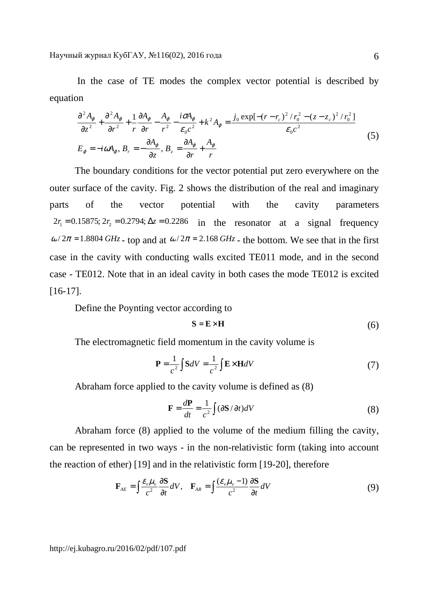In the case of TE modes the complex vector potential is described by equation

$$
\frac{\partial^2 A_{\varphi}}{\partial z^2} + \frac{\partial^2 A_{\varphi}}{\partial r^2} + \frac{1}{r} \frac{\partial A_{\varphi}}{\partial r} - \frac{A_{\varphi}}{r^2} - \frac{i \sigma A_{\varphi}}{\varepsilon_0 c^2} + k^2 A_{\varphi} = \frac{j_0 \exp[-(r - r_c)^2 / r_0^2 - (z - z_c)^2 / r_0^2]}{\varepsilon_0 c^2}
$$
\n
$$
E_{\varphi} = -i \omega A_{\varphi}, B_r = -\frac{\partial A_{\varphi}}{\partial z}, B_z = \frac{\partial A_{\varphi}}{\partial r} + \frac{A_{\varphi}}{r}
$$
\n(5)

The boundary conditions for the vector potential put zero everywhere on the outer surface of the cavity. Fig. 2 shows the distribution of the real and imaginary parts of the vector potential with the cavity parameters  $2r_1 = 0.15875$ ;  $2r_2 = 0.2794$ ;  $\Delta z = 0.2286$  in the resonator at a signal frequency  $\omega/2\pi = 1.8804 \text{ GHz}$  - top and at  $\omega/2\pi = 2.168 \text{ GHz}$  - the bottom. We see that in the first case in the cavity with conducting walls excited TE011 mode, and in the second case - TE012. Note that in an ideal cavity in both cases the mode TE012 is excited [16-17].

Define the Poynting vector according to

$$
S = E \times H \tag{6}
$$

The electromagnetic field momentum in the cavity volume is

$$
\mathbf{P} = \frac{1}{c^2} \int \mathbf{S}dV = \frac{1}{c^2} \int \mathbf{E} \times \mathbf{H}dV
$$
 (7)

Abraham force applied to the cavity volume is defined as (8)

$$
\mathbf{F} = \frac{d\mathbf{P}}{dt} = \frac{1}{c^2} \int (\partial \mathbf{S} / \partial t) dV
$$
 (8)

Abraham force (8) applied to the volume of the medium filling the cavity, can be represented in two ways - in the non-relativistic form (taking into account the reaction of ether) [19] and in the relativistic form [19-20], therefore

$$
\mathbf{F}_{AE} = \int \frac{\mathcal{E}_{\nu} \mu_{\nu}}{c^2} \frac{\partial \mathbf{S}}{\partial t} dV, \quad \mathbf{F}_{AR} = \int \frac{(\mathcal{E}_{\nu} \mu_{\nu} - 1)}{c^2} \frac{\partial \mathbf{S}}{\partial t} dV
$$
(9)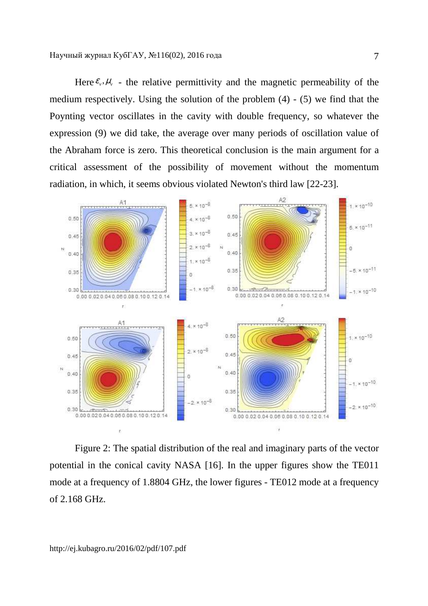Here  $\varepsilon_{\nu}$ ,  $\mu_{\nu}$  - the relative permittivity and the magnetic permeability of the medium respectively. Using the solution of the problem (4) - (5) we find that the Poynting vector oscillates in the cavity with double frequency, so whatever the expression (9) we did take, the average over many periods of oscillation value of the Abraham force is zero. This theoretical conclusion is the main argument for a critical assessment of the possibility of movement without the momentum radiation, in which, it seems obvious violated Newton's third law [22-23].



Figure 2: The spatial distribution of the real and imaginary parts of the vector potential in the conical cavity NASA [16]. In the upper figures show the TE011 mode at a frequency of 1.8804 GHz, the lower figures - TE012 mode at a frequency of 2.168 GHz.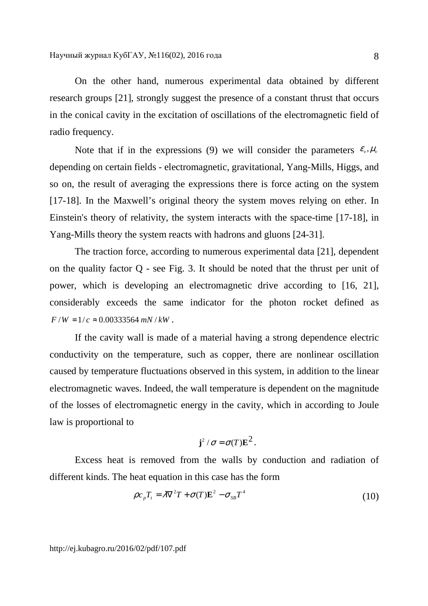On the other hand, numerous experimental data obtained by different research groups [21], strongly suggest the presence of a constant thrust that occurs in the conical cavity in the excitation of oscillations of the electromagnetic field of radio frequency.

Note that if in the expressions (9) we will consider the parameters  $\varepsilon_v$ ,  $\mu_v$ depending on certain fields - electromagnetic, gravitational, Yang-Mills, Higgs, and so on, the result of averaging the expressions there is force acting on the system [17-18]. In the Maxwell's original theory the system moves relying on ether. In Einstein's theory of relativity, the system interacts with the space-time [17-18], in Yang-Mills theory the system reacts with hadrons and gluons [24-31].

The traction force, according to numerous experimental data [21], dependent on the quality factor Q - see Fig. 3. It should be noted that the thrust per unit of power, which is developing an electromagnetic drive according to [16, 21], considerably exceeds the same indicator for the photon rocket defined as  $F/W = 1/c \approx 0.00333564$  *mN* / *kW*.

If the cavity wall is made of a material having a strong dependence electric conductivity on the temperature, such as copper, there are nonlinear oscillation caused by temperature fluctuations observed in this system, in addition to the linear electromagnetic waves. Indeed, the wall temperature is dependent on the magnitude of the losses of electromagnetic energy in the cavity, which in according to Joule law is proportional to

$$
\mathbf{j}^2/\sigma = \sigma(T)\mathbf{E}^2.
$$

Excess heat is removed from the walls by conduction and radiation of different kinds. The heat equation in this case has the form

$$
\rho c_p T_t = \lambda \nabla^2 T + \sigma(T) \mathbf{E}^2 - \sigma_{SB} T^4
$$
\n(10)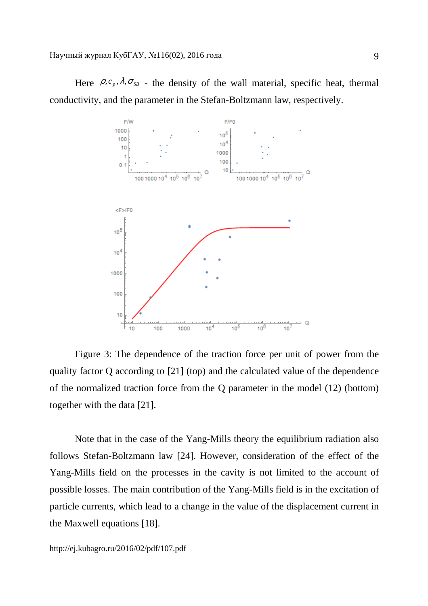Here  $\rho, c_p, \lambda, \sigma_{SB}$  - the density of the wall material, specific heat, thermal conductivity, and the parameter in the Stefan-Boltzmann law, respectively.



Figure 3: The dependence of the traction force per unit of power from the quality factor Q according to [21] (top) and the calculated value of the dependence of the normalized traction force from the Q parameter in the model (12) (bottom) together with the data [21].

Note that in the case of the Yang-Mills theory the equilibrium radiation also follows Stefan-Boltzmann law [24]. However, consideration of the effect of the Yang-Mills field on the processes in the cavity is not limited to the account of possible losses. The main contribution of the Yang-Mills field is in the excitation of particle currents, which lead to a change in the value of the displacement current in the Maxwell equations [18].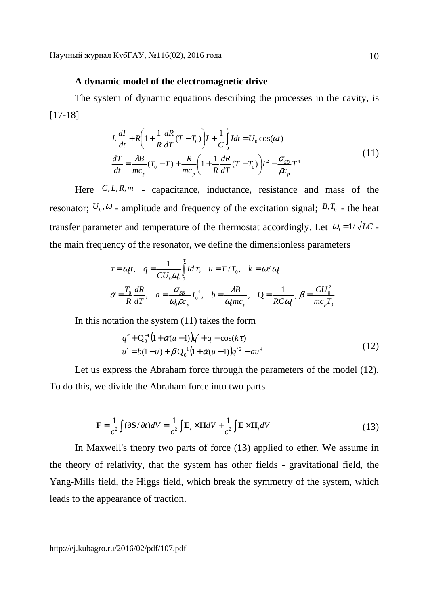## **A dynamic model of the electromagnetic drive**

The system of dynamic equations describing the processes in the cavity, is [17-18]

$$
L\frac{dI}{dt} + R\left(1 + \frac{1}{R}\frac{dR}{dT}(T - T_0)\right)I + \frac{1}{C}\int_0^t I dt = U_0 \cos(\omega t)
$$
  

$$
\frac{dT}{dt} = \frac{\lambda B}{mc_p}(T_0 - T) + \frac{R}{mc_p}\left(1 + \frac{1}{R}\frac{dR}{dT}(T - T_0)\right)I^2 - \frac{\sigma_{SB}}{\rho c_p}T^4
$$
(11)

Here  $C, L, R, m$  - capacitance, inductance, resistance and mass of the resonator;  $U_0$ , $\omega$  - amplitude and frequency of the excitation signal;  $B$ , $T_0$  - the heat transfer parameter and temperature of the thermostat accordingly. Let  $\omega_0 = 1/\sqrt{LC}$ . the main frequency of the resonator, we define the dimensionless parameters

$$
\tau = \omega_0 t, \quad q = \frac{1}{CU_0\omega_0} \int_0^{\tau} I d\tau, \quad u = T/T_0, \quad k = \omega/\omega_0
$$

$$
\alpha = \frac{T_0}{R} \frac{dR}{dT}, \quad a = \frac{\sigma_{SB}}{\omega_0 \rho c_p} T_0^4, \quad b = \frac{\lambda B}{\omega_0 m c_p}, \quad Q = \frac{1}{RC\omega_0}, \beta = \frac{CU_0^2}{mc_pT_0}
$$

In this notation the system  $(11)$  takes the form

$$
q'' + Q_0^{-1}(1 + \alpha(u-1))q' + q = \cos(k\tau)
$$
  
 
$$
u' = b(1-u) + \beta Q_0^{-1}(1 + \alpha(u-1))q'^2 - au^4
$$
 (12)

Let us express the Abraham force through the parameters of the model (12). To do this, we divide the Abraham force into two parts

$$
\mathbf{F} = \frac{1}{c^2} \int (\partial \mathbf{S} / \partial t) dV = \frac{1}{c^2} \int \mathbf{E}_t \times \mathbf{H} dV + \frac{1}{c^2} \int \mathbf{E} \times \mathbf{H}_t dV
$$
 (13)

In Maxwell's theory two parts of force (13) applied to ether. We assume in the theory of relativity, that the system has other fields - gravitational field, the Yang-Mills field, the Higgs field, which break the symmetry of the system, which leads to the appearance of traction.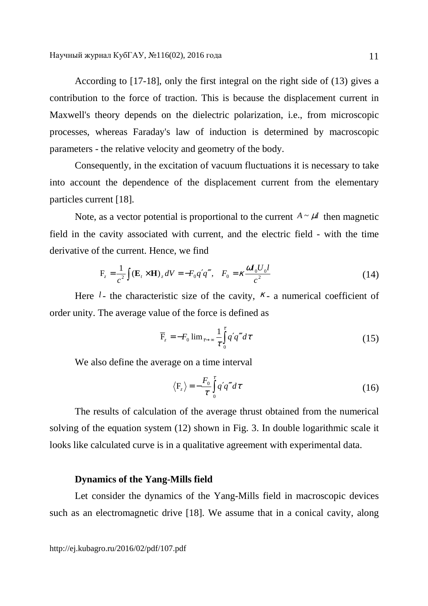According to [17-18], only the first integral on the right side of (13) gives a contribution to the force of traction. This is because the displacement current in Maxwell's theory depends on the dielectric polarization, i.e., from microscopic processes, whereas Faraday's law of induction is determined by macroscopic parameters - the relative velocity and geometry of the body.

Consequently, in the excitation of vacuum fluctuations it is necessary to take into account the dependence of the displacement current from the elementary particles current [18].

Note, as a vector potential is proportional to the current  $A \sim \mu I$  then magnetic field in the cavity associated with current, and the electric field - with the time derivative of the current. Hence, we find

$$
F_z = \frac{1}{c^2} \int (\mathbf{E}_t \times \mathbf{H})_z dV = -F_0 q' q''', \quad F_0 = \kappa \frac{\omega I_0 U_0 l}{c^2}
$$
 (14)

Here  $l$ - the characteristic size of the cavity,  $K$ - a numerical coefficient of order unity. The average value of the force is defined as

$$
\overline{F}_z = -F_0 \lim_{\tau \to \infty} \frac{1}{\tau} \int_0^{\tau} q' q''' d\tau
$$
\n(15)

We also define the average on a time interval

$$
\langle F_z \rangle = -\frac{F_0}{\tau} \int_0^{\tau} q' q''' d\tau \tag{16}
$$

The results of calculation of the average thrust obtained from the numerical solving of the equation system (12) shown in Fig. 3. In double logarithmic scale it looks like calculated curve is in a qualitative agreement with experimental data.

### **Dynamics of the Yang-Mills field**

Let consider the dynamics of the Yang-Mills field in macroscopic devices such as an electromagnetic drive [18]. We assume that in a conical cavity, along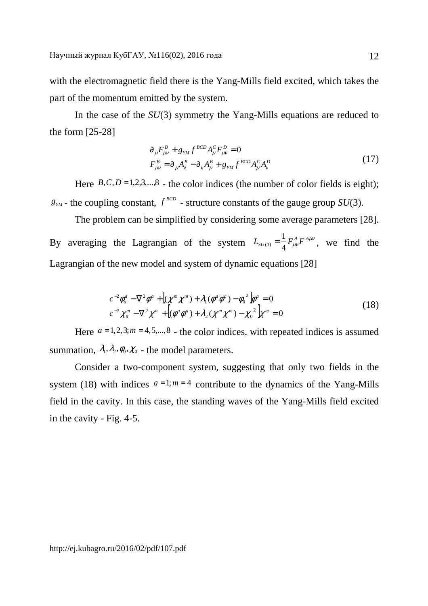with the electromagnetic field there is the Yang-Mills field excited, which takes the part of the momentum emitted by the system.

In the case of the *SU*(3) symmetry the Yang-Mills equations are reduced to the form [25-28]

$$
\partial_{\mu} F_{\mu\nu}^{B} + g_{YM} f^{BCD} A_{\mu}^{C} F_{\mu\nu}^{D} = 0
$$
\n
$$
F_{\mu\nu}^{B} = \partial_{\mu} A_{\nu}^{B} - \partial_{\nu} A_{\mu}^{B} + g_{YM} f^{BCD} A_{\mu}^{C} A_{\nu}^{D}
$$
\n(17)

Here  $B, C, D = 1, 2, 3, \ldots, 8$  - the color indices (the number of color fields is eight);  $g_{\scriptscriptstyle TM}$  - the coupling constant,  $f^{\scriptscriptstyle BCD}$  - structure constants of the gauge group *SU*(3).

The problem can be simplified by considering some average parameters [28]. By averaging the Lagrangian of the system  $L_{SU(3)} = \frac{1}{4} F_{\mu\nu}^A F^{A\mu\nu}$  $L_{SU(3)} = \frac{1}{4} F_{\mu\nu}^A F^A$  $\chi_{(3)} = \frac{1}{4} F_{\mu\nu}^A F^{A\mu\nu}$ , we find the Lagrangian of the new model and system of dynamic equations [28]

$$
c^{-2}\phi_{tt}^{a} - \nabla^{2}\phi^{a} + \left[ (\chi^{m}\chi^{m}) + \lambda_{1}(\phi^{a}\phi^{a}) - \phi_{0}^{2} \right] \phi^{a} = 0
$$
  
\n
$$
c^{-2}\chi_{tt}^{m} - \nabla^{2}\chi^{m} + \left[ (\phi^{a}\phi^{a}) + \lambda_{2}(\chi^{m}\chi^{m}) - \chi_{0}^{2} \right] \chi^{m} = 0
$$
\n(18)

Here  $a = 1, 2, 3; m = 4, 5, \dots, 8$  - the color indices, with repeated indices is assumed summation,  $\lambda_1, \lambda_2, \phi_0, \chi_0$  - the model parameters.

Consider a two-component system, suggesting that only two fields in the system (18) with indices  $a=1; m=4$  contribute to the dynamics of the Yang-Mills field in the cavity. In this case, the standing waves of the Yang-Mills field excited in the cavity - Fig. 4-5.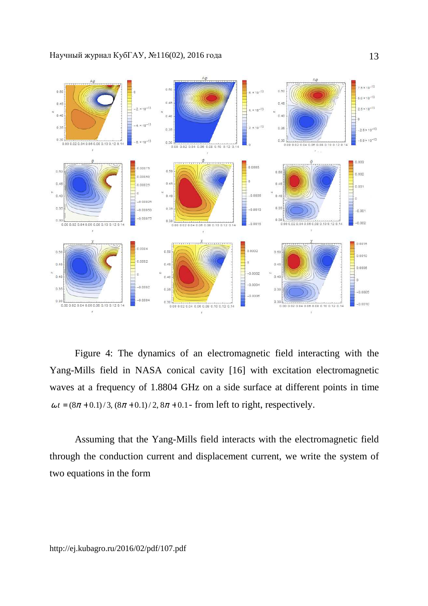

Figure 4: The dynamics of an electromagnetic field interacting with the Yang-Mills field in NASA conical cavity [16] with excitation electromagnetic waves at a frequency of 1.8804 GHz on a side surface at different points in time  $\omega t = (8\pi + 0.1)/3$ ,  $(8\pi + 0.1)/2$ ,  $8\pi + 0.1$ - from left to right, respectively.

Assuming that the Yang-Mills field interacts with the electromagnetic field through the conduction current and displacement current, we write the system of two equations in the form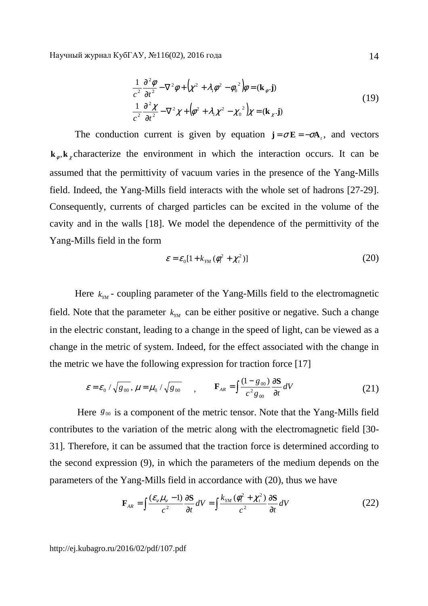$$
\frac{1}{c^2} \frac{\partial^2 \phi}{\partial t^2} - \nabla^2 \phi + (\chi^2 + \lambda_1 \phi^2 - \phi_0^2) \phi = (\mathbf{k}_{\phi} \cdot \mathbf{j})
$$
\n
$$
\frac{1}{c^2} \frac{\partial^2 \chi}{\partial t^2} - \nabla^2 \chi + (\phi^2 + \lambda_1 \chi^2 - \chi_0^2) \chi = (\mathbf{k}_{\chi} \cdot \mathbf{j})
$$
\n(19)

The conduction current is given by equation  $\mathbf{j} = \sigma \mathbf{E} = -\sigma \mathbf{A}_i$ , and vectors  $\mathbf{k}_{\phi}$ ,  $\mathbf{k}_{\chi}$  characterize the environment in which the interaction occurs. It can be assumed that the permittivity of vacuum varies in the presence of the Yang-Mills field. Indeed, the Yang-Mills field interacts with the whole set of hadrons [27-29]. Consequently, currents of charged particles can be excited in the volume of the cavity and in the walls [18]. We model the dependence of the permittivity of the Yang-Mills field in the form

$$
\varepsilon = \varepsilon_0 [1 + k_{YM} (\phi_t^2 + \chi_t^2)] \tag{20}
$$

Here  $k_{\mu\nu}$  - coupling parameter of the Yang-Mills field to the electromagnetic field. Note that the parameter  $k_{<sub>YM</sub>}$  can be either positive or negative. Such a change in the electric constant, leading to a change in the speed of light, can be viewed as a change in the metric of system. Indeed, for the effect associated with the change in the metric we have the following expression for traction force [17]

$$
\varepsilon = \varepsilon_0 / \sqrt{g_{00}}, \mu = \mu_0 / \sqrt{g_{00}} \qquad , \qquad \mathbf{F}_{AR} = \int \frac{(1 - g_{00})}{c^2 g_{00}} \frac{\partial \mathbf{S}}{\partial t} dV \tag{21}
$$

Here  $g_{\omega}$  is a component of the metric tensor. Note that the Yang-Mills field contributes to the variation of the metric along with the electromagnetic field [30- 31]. Therefore, it can be assumed that the traction force is determined according to the second expression (9), in which the parameters of the medium depends on the parameters of the Yang-Mills field in accordance with (20), thus we have

$$
\mathbf{F}_{AR} = \int \frac{(\varepsilon_v \mu_v - 1)}{c^2} \frac{\partial \mathbf{S}}{\partial t} dV = \int \frac{k_{YM} (\phi_t^2 + \chi_t^2)}{c^2} \frac{\partial \mathbf{S}}{\partial t} dV \tag{22}
$$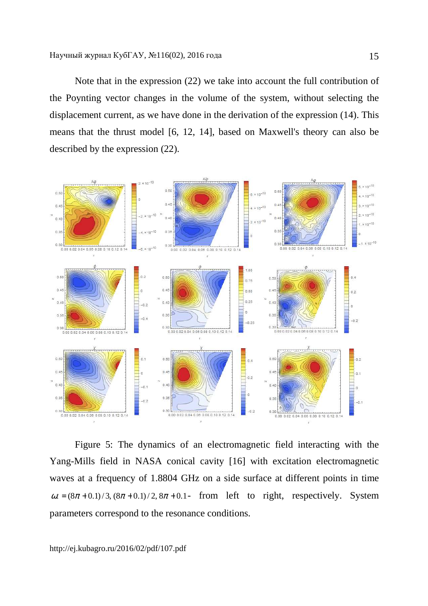Note that in the expression (22) we take into account the full contribution of the Poynting vector changes in the volume of the system, without selecting the displacement current, as we have done in the derivation of the expression (14). This means that the thrust model [6, 12, 14], based on Maxwell's theory can also be described by the expression (22).



Figure 5: The dynamics of an electromagnetic field interacting with the Yang-Mills field in NASA conical cavity [16] with excitation electromagnetic waves at a frequency of 1.8804 GHz on a side surface at different points in time  $\omega t = (8\pi + 0.1)/3$ ,  $(8\pi + 0.1)/2$ ,  $8\pi + 0.1$ - from left to right, respectively. System parameters correspond to the resonance conditions.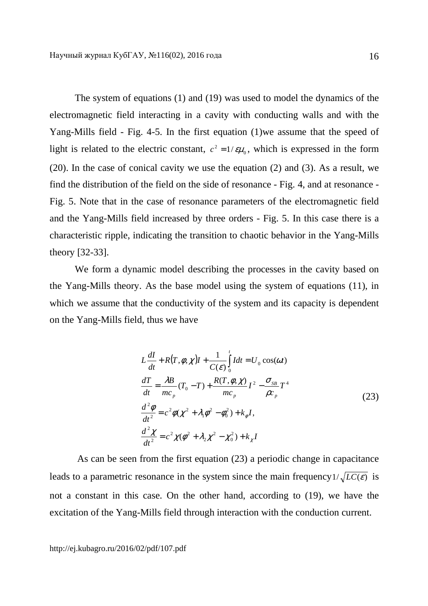The system of equations (1) and (19) was used to model the dynamics of the electromagnetic field interacting in a cavity with conducting walls and with the Yang-Mills field - Fig. 4-5. In the first equation (1)we assume that the speed of light is related to the electric constant,  $c^2 = 1/\epsilon \mu_0$ , which is expressed in the form (20). In the case of conical cavity we use the equation (2) and (3). As a result, we find the distribution of the field on the side of resonance - Fig. 4, and at resonance - Fig. 5. Note that in the case of resonance parameters of the electromagnetic field and the Yang-Mills field increased by three orders - Fig. 5. In this case there is a characteristic ripple, indicating the transition to chaotic behavior in the Yang-Mills theory [32-33].

We form a dynamic model describing the processes in the cavity based on the Yang-Mills theory. As the base model using the system of equations (11), in which we assume that the conductivity of the system and its capacity is dependent on the Yang-Mills field, thus we have

$$
L\frac{dI}{dt} + R(T,\phi,\chi)I + \frac{1}{C(\varepsilon)}\int_{0}^{t} Idt = U_{0}\cos(\omega t)
$$
  

$$
\frac{dT}{dt} = \frac{\lambda B}{mc_{p}}(T_{0} - T) + \frac{R(T,\phi,\chi)}{mc_{p}}I^{2} - \frac{\sigma_{SB}}{\rho c_{p}}T^{4}
$$
  

$$
\frac{d^{2}\phi}{dt^{2}} = c^{2}\phi(\chi^{2} + \lambda_{1}\phi^{2} - \phi_{0}^{2}) + k_{\phi}I,
$$
  

$$
\frac{d^{2}\chi}{dt^{2}} = c^{2}\chi(\phi^{2} + \lambda_{2}\chi^{2} - \chi_{0}^{2}) + k_{\chi}I
$$
 (23)

 As can be seen from the first equation (23) a periodic change in capacitance leads to a parametric resonance in the system since the main frequency  $1/\sqrt{LC(\varepsilon)}$  is not a constant in this case. On the other hand, according to (19), we have the excitation of the Yang-Mills field through interaction with the conduction current.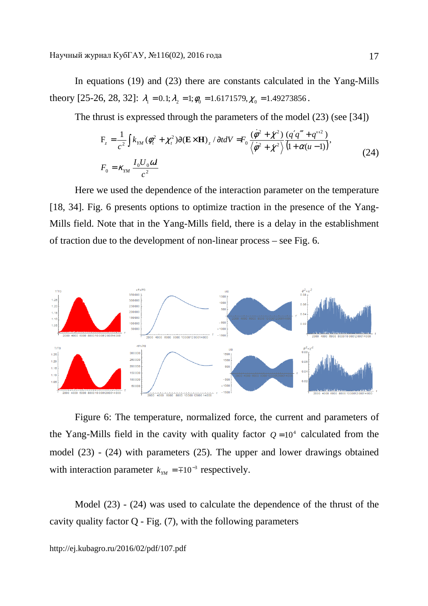In equations (19) and (23) there are constants calculated in the Yang-Mills theory [25-26, 28, 32]:  $\lambda_1 = 0.1$ ;  $\lambda_2 = 1$ ;  $\phi_0 = 1.6171579$ ,  $\chi_0 = 1.49273856$ .

The thrust is expressed through the parameters of the model (23) (see [34])

$$
F_z = \frac{1}{c^2} \int k_{YM} (\phi_t^2 + \chi_t^2) \partial (E \times H)_z / \partial t dV = F_0 \frac{(\dot{\phi}^2 + \dot{\chi}^2)}{\langle \dot{\phi}^2 + \dot{\chi}^2 \rangle} \frac{(q'q''' + q''^2)}{(1 + \alpha(u - 1))},
$$
  
\n
$$
F_0 = \kappa_{YM} \frac{I_0 U_0 \omega l}{c^2}
$$
 (24)

Here we used the dependence of the interaction parameter on the temperature [18, 34]. Fig. 6 presents options to optimize traction in the presence of the Yang-Mills field. Note that in the Yang-Mills field, there is a delay in the establishment of traction due to the development of non-linear process – see Fig. 6.



Figure 6: The temperature, normalized force, the current and parameters of the Yang-Mills field in the cavity with quality factor  $Q = 10<sup>4</sup>$  calculated from the model (23) - (24) with parameters (25). The upper and lower drawings obtained with interaction parameter  $k_{YM} = \mp 10^{-3}$  respectively.

Model (23) - (24) was used to calculate the dependence of the thrust of the cavity quality factor  $Q$  - Fig.  $(7)$ , with the following parameters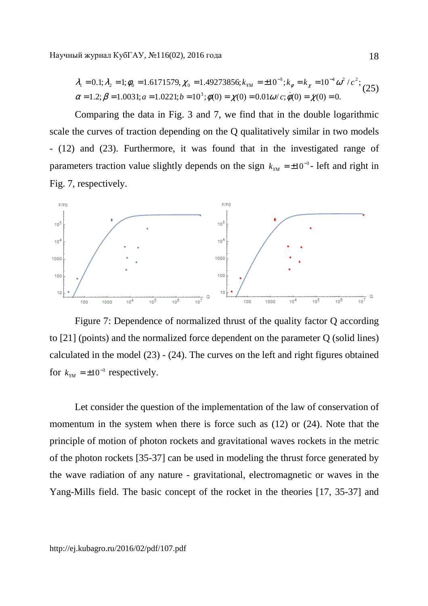$$
\lambda_1 = 0.1; \lambda_2 = 1; \phi_0 = 1.6171579, \chi_0 = 1.49273856; k_{YM} = \pm 10^{-3}; k_{\phi} = k_{\chi} = 10^{-4} \omega^2 / c^2; \alpha = 1.2; \beta = 1.0031; a = 1.0221; b = 10^3; \phi(0) = \chi(0) = 0.01\omega / c; \dot{\phi}(0) = \dot{\chi}(0) = 0.
$$
\n(25)

Comparing the data in Fig. 3 and 7, we find that in the double logarithmic scale the curves of traction depending on the Q qualitatively similar in two models - (12) and (23). Furthermore, it was found that in the investigated range of parameters traction value slightly depends on the sign  $k_{<sub>YM</sub>}$  =  $\pm 10^{-3}$ - left and right in Fig. 7, respectively.



Figure 7: Dependence of normalized thrust of the quality factor Q according to [21] (points) and the normalized force dependent on the parameter Q (solid lines) calculated in the model (23) - (24). The curves on the left and right figures obtained for  $k_{YM} = \pm 10^{-3}$  respectively.

Let consider the question of the implementation of the law of conservation of momentum in the system when there is force such as (12) or (24). Note that the principle of motion of photon rockets and gravitational waves rockets in the metric of the photon rockets [35-37] can be used in modeling the thrust force generated by the wave radiation of any nature - gravitational, electromagnetic or waves in the Yang-Mills field. The basic concept of the rocket in the theories [17, 35-37] and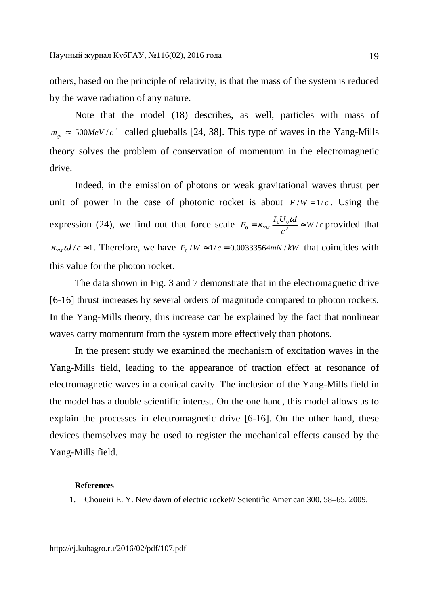others, based on the principle of relativity, is that the mass of the system is reduced by the wave radiation of any nature.

Note that the model (18) describes, as well, particles with mass of  $m_{gl} \approx 1500 MeV/c^2$  called glueballs [24, 38]. This type of waves in the Yang-Mills theory solves the problem of conservation of momentum in the electromagnetic drive.

Indeed, in the emission of photons or weak gravitational waves thrust per unit of power in the case of photonic rocket is about  $F/W = 1/c$ . Using the expression (24), we find out that force scale  $F_0 = \kappa_{\gamma} \frac{I_0 C_0 \omega}{r} \approx W/c$ *c*  $F_0 = \kappa_{YM} \frac{I_0 U_0 \omega l}{a^2} \approx W/$  $\kappa_{\rm w} = \kappa_{\rm w} \frac{I_0 U_0 \omega l}{r^2} \approx W/c$  provided that  $\kappa_{YM} \omega l/c \approx 1$ . Therefore, we have  $F_0/W \approx 1/c = 0.00333564mN/kW$  that coincides with this value for the photon rocket.

The data shown in Fig. 3 and 7 demonstrate that in the electromagnetic drive [6-16] thrust increases by several orders of magnitude compared to photon rockets. In the Yang-Mills theory, this increase can be explained by the fact that nonlinear waves carry momentum from the system more effectively than photons.

In the present study we examined the mechanism of excitation waves in the Yang-Mills field, leading to the appearance of traction effect at resonance of electromagnetic waves in a conical cavity. The inclusion of the Yang-Mills field in the model has a double scientific interest. On the one hand, this model allows us to explain the processes in electromagnetic drive [6-16]. On the other hand, these devices themselves may be used to register the mechanical effects caused by the Yang-Mills field.

### **References**

1. Choueiri E. Y. New dawn of electric rocket// Scientific American 300, 58–65, 2009.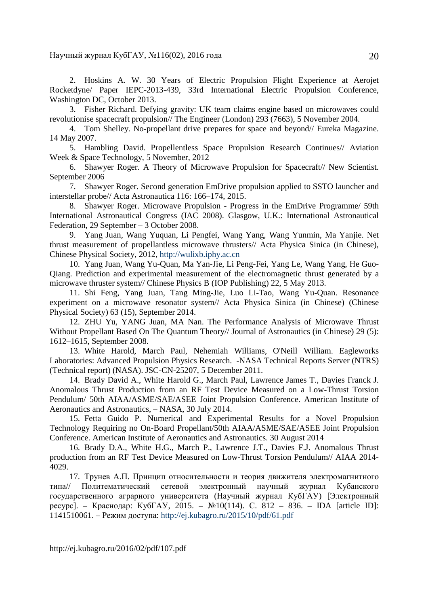2. Hoskins A. W. 30 Years of Electric Propulsion Flight Experience at Aerojet Rocketdyne/ Paper IEPC-2013-439, 33rd International Electric Propulsion Conference, Washington DC, October 2013.

3. Fisher Richard. Defying gravity: UK team claims engine based on microwaves could revolutionise spacecraft propulsion// The Engineer (London) 293 (7663), 5 November 2004.

4. Tom Shelley. No-propellant drive prepares for space and beyond// Eureka Magazine. 14 May 2007.

5. Hambling David. Propellentless Space Propulsion Research Continues// Aviation Week & Space Technology, 5 November, 2012

6. Shawyer Roger. A Theory of Microwave Propulsion for Spacecraft// New Scientist. September 2006

7. Shawyer Roger. Second generation EmDrive propulsion applied to SSTO launcher and interstellar probe// Acta Astronautica 116: 166–174, 2015.

8. Shawyer Roger. Microwave Propulsion - Progress in the EmDrive Programme/ 59th International Astronautical Congress (IAC 2008). Glasgow, U.K.: International Astronautical Federation, 29 September – 3 October 2008.

9. Yang Juan, Wang Yuquan, Li Pengfei, Wang Yang, Wang Yunmin, Ma Yanjie. Net thrust measurement of propellantless microwave thrusters// Acta Physica Sinica (in Chinese), Chinese Physical Society, 2012, http://wulixb.iphy.ac.cn

10. Yang Juan, Wang Yu-Quan, Ma Yan-Jie, Li Peng-Fei, Yang Le, Wang Yang, He Guo-Qiang. Prediction and experimental measurement of the electromagnetic thrust generated by a microwave thruster system// Chinese Physics B (IOP Publishing) 22, 5 May 2013.

11. Shi Feng, Yang Juan, Tang Ming-Jie, Luo Li-Tao, Wang Yu-Quan. Resonance experiment on a microwave resonator system// Acta Physica Sinica (in Chinese) (Chinese Physical Society) 63 (15), September 2014.

12. ZHU Yu, YANG Juan, MA Nan. The Performance Analysis of Microwave Thrust Without Propellant Based On The Quantum Theory// Journal of Astronautics (in Chinese) 29 (5): 1612–1615, September 2008.

13. White Harold, March Paul, Nehemiah Williams, O'Neill William. Eagleworks Laboratories: Advanced Propulsion Physics Research. -NASA Technical Reports Server (NTRS) (Technical report) (NASA). JSC-CN-25207, 5 December 2011.

14. Brady David A., White Harold G., March Paul, Lawrence James T., Davies Franck J. Anomalous Thrust Production from an RF Test Device Measured on a Low-Thrust Torsion Pendulum/ 50th AIAA/ASME/SAE/ASEE Joint Propulsion Conference. American Institute of Aeronautics and Astronautics, – NASA, 30 July 2014.

15. Fetta Guido P. Numerical and Experimental Results for a Novel Propulsion Technology Requiring no On-Board Propellant/50th AIAA/ASME/SAE/ASEE Joint Propulsion Conference. American Institute of Aeronautics and Astronautics. 30 August 2014

16. Brady D.A., White H.G., March P., Lawrence J.T., Davies F.J. Anomalous Thrust production from an RF Test Device Measured on Low-Thrust Torsion Pendulum// AIAA 2014- 4029.

17. Трунев А.П. Принцип относительности и теория движителя электромагнитного типа// Политематический сетевой электронный научный журнал Кубанского государственного аграрного университета (Научный журнал КубГАУ) [Электронный ресурс]. – Краснодар: КубГАУ, 2015. – №10(114). С. 812 – 836. – IDA [article ID]: 1141510061. – Режим доступа: http://ej.kubagro.ru/2015/10/pdf/61.pdf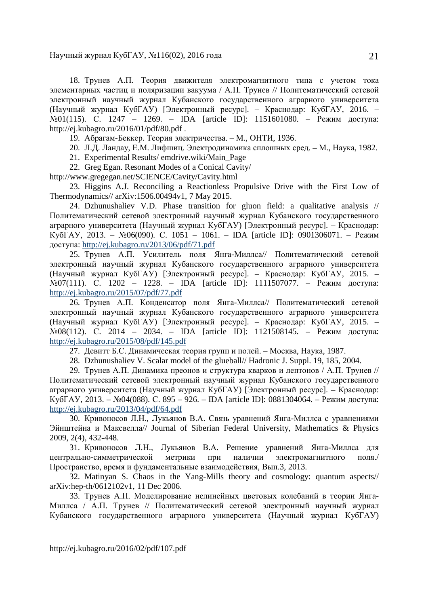18. Трунев А.П. Теория движителя электромагнитного типа с учетом тока элементарных частиц и поляризации вакуума / А.П. Трунев // Политематический сетевой электронный научный журнал Кубанского государственного аграрного университета (Научный журнал КубГАУ) [Электронный ресурс]. – Краснодар: КубГАУ, 2016. – №01(115). С. 1247 – 1269. – IDA [article ID]: 1151601080. – Режим доступа: http://ej.kubagro.ru/2016/01/pdf/80.pdf .

19. Абрагам-Беккер. Теория электричества. – М., ОНТИ, 1936.

20. Л.Д. Ландау, Е.М. Лифшиц. Электродинамика сплошных сред. – М., Наука, 1982.

21. Experimental Results/ emdrive.wiki/Main\_Page

22. Greg Egan. Resonant Modes of a Conical Cavity/

http://www.gregegan.net/SCIENCE/Cavity/Cavity.html

23. Higgins A.J. Reconciling a Reactionless Propulsive Drive with the First Low of Thermodynamics// arXiv:1506.00494v1, 7 May 2015.

24. Dzhunushaliev V.D. Phase transition for gluon field: a qualitative analysis // Политематический сетевой электронный научный журнал Кубанского государственного аграрного университета (Научный журнал КубГАУ) [Электронный ресурс]. – Краснодар: КубГАУ, 2013. – №06(090). С. 1051 – 1061. – IDA [article ID]: 0901306071. – Режим доступа: http://ej.kubagro.ru/2013/06/pdf/71.pdf

25. Трунев А.П. Усилитель поля Янга-Миллса// Политематический сетевой электронный научный журнал Кубанского государственного аграрного университета (Научный журнал КубГАУ) [Электронный ресурс]. – Краснодар: КубГАУ, 2015. – №07(111). С. 1202 – 1228. – IDA [article ID]: 1111507077. – Режим доступа: http://ej.kubagro.ru/2015/07/pdf/77.pdf

26. Трунев А.П. Конденсатор поля Янга-Миллса// Политематический сетевой электронный научный журнал Кубанского государственного аграрного университета (Научный журнал КубГАУ) [Электронный ресурс]. – Краснодар: КубГАУ, 2015. – №08(112). С. 2014 – 2034. – IDA [article ID]: 1121508145. – Режим доступа: http://ej.kubagro.ru/2015/08/pdf/145.pdf

27. Девитт Б.С. Динамическая теория групп и полей. – Москва, Наука, 1987.

28. Dzhunushaliev V. Scalar model of the glueball// Hadronic J. Suppl. 19, 185, 2004.

29. Трунев А.П. Динамика преонов и структура кварков и лептонов / А.П. Трунев // Политематический сетевой электронный научный журнал Кубанского государственного аграрного университета (Научный журнал КубГАУ) [Электронный ресурс]. – Краснодар: КубГАУ, 2013. – №04(088). С. 895 – 926. – IDA [article ID]: 0881304064. – Режим доступа: http://ej.kubagro.ru/2013/04/pdf/64.pdf

30. Кривоносов Л.Н., Лукьянов В.А. Связь уравнений Янга-Миллса с уравнениями Эйнштейна и Максвелла// Journal of Siberian Federal University, Mathematics & Physics 2009, 2(4), 432-448.

31. Кривоносов Л.Н., Лукьянов В.А. Решение уравнений Янга-Миллса для центрально-симметрической метрики при наличии электромагнитного поля./ Пространство, время и фундаментальные взаимодействия, Вып.3, 2013.

32. Matinyan S. Chaos in the Yang-Mills theory and cosmology: quantum aspects// arXiv:hep-th/0612102v1, 11 Dec 2006.

33. Трунев А.П. Моделирование нелинейных цветовых колебаний в теории Янга-Миллса / А.П. Трунев // Политематический сетевой электронный научный журнал Кубанского государственного аграрного университета (Научный журнал КубГАУ)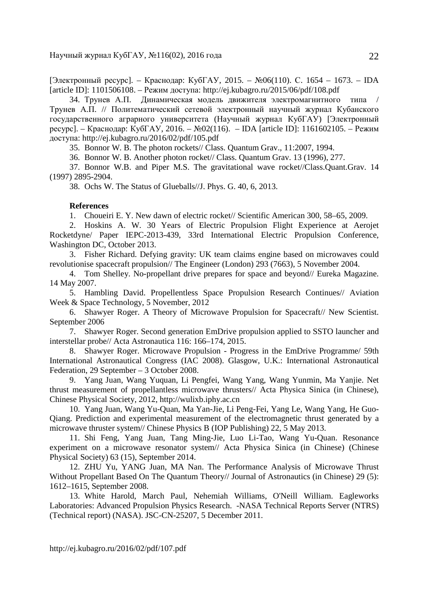[Электронный ресурс]. – Краснодар: КубГАУ, 2015. – №06(110). С. 1654 – 1673. – IDA [article ID]: 1101506108. – Режим доступа: http://ej.kubagro.ru/2015/06/pdf/108.pdf

34. Трунев А.П. Динамическая модель движителя электромагнитного типа / Трунев А.П. // Политематический сетевой электронный научный журнал Кубанского государственного аграрного университета (Научный журнал КубГАУ) [Электронный ресурс]. – Краснодар: КубГАУ, 2016. – №02(116). – IDA [article ID]: 1161602105. – Режим доступа: http://ej.kubagro.ru/2016/02/pdf/105.pdf

35. Bonnor W. B. The photon rockets// Class. Quantum Grav., 11:2007, 1994.

36. Bonnor W. B. Another photon rocket// Class. Quantum Grav. 13 (1996), 277.

37. Bonnor W.B. and Piper M.S. The gravitational wave rocket//Class.Quant.Grav. 14 (1997) 2895-2904.

38. Ochs W. The Status of Glueballs//J. Phys. G. 40, 6, 2013.

#### **References**

1. Choueiri E. Y. New dawn of electric rocket// Scientific American 300, 58–65, 2009.

2. Hoskins A. W. 30 Years of Electric Propulsion Flight Experience at Aerojet Rocketdyne/ Paper IEPC-2013-439, 33rd International Electric Propulsion Conference, Washington DC, October 2013.

3. Fisher Richard. Defying gravity: UK team claims engine based on microwaves could revolutionise spacecraft propulsion// The Engineer (London) 293 (7663), 5 November 2004.

4. Tom Shelley. No-propellant drive prepares for space and beyond// Eureka Magazine. 14 May 2007.

5. Hambling David. Propellentless Space Propulsion Research Continues// Aviation Week & Space Technology, 5 November, 2012

6. Shawyer Roger. A Theory of Microwave Propulsion for Spacecraft// New Scientist. September 2006

7. Shawyer Roger. Second generation EmDrive propulsion applied to SSTO launcher and interstellar probe// Acta Astronautica 116: 166–174, 2015.

8. Shawyer Roger. Microwave Propulsion - Progress in the EmDrive Programme/ 59th International Astronautical Congress (IAC 2008). Glasgow, U.K.: International Astronautical Federation, 29 September – 3 October 2008.

9. Yang Juan, Wang Yuquan, Li Pengfei, Wang Yang, Wang Yunmin, Ma Yanjie. Net thrust measurement of propellantless microwave thrusters// Acta Physica Sinica (in Chinese), Chinese Physical Society, 2012, http://wulixb.iphy.ac.cn

10. Yang Juan, Wang Yu-Quan, Ma Yan-Jie, Li Peng-Fei, Yang Le, Wang Yang, He Guo-Qiang. Prediction and experimental measurement of the electromagnetic thrust generated by a microwave thruster system// Chinese Physics B (IOP Publishing) 22, 5 May 2013.

11. Shi Feng, Yang Juan, Tang Ming-Jie, Luo Li-Tao, Wang Yu-Quan. Resonance experiment on a microwave resonator system// Acta Physica Sinica (in Chinese) (Chinese Physical Society) 63 (15), September 2014.

12. ZHU Yu, YANG Juan, MA Nan. The Performance Analysis of Microwave Thrust Without Propellant Based On The Quantum Theory// Journal of Astronautics (in Chinese) 29 (5): 1612–1615, September 2008.

13. White Harold, March Paul, Nehemiah Williams, O'Neill William. Eagleworks Laboratories: Advanced Propulsion Physics Research. -NASA Technical Reports Server (NTRS) (Technical report) (NASA). JSC-CN-25207, 5 December 2011.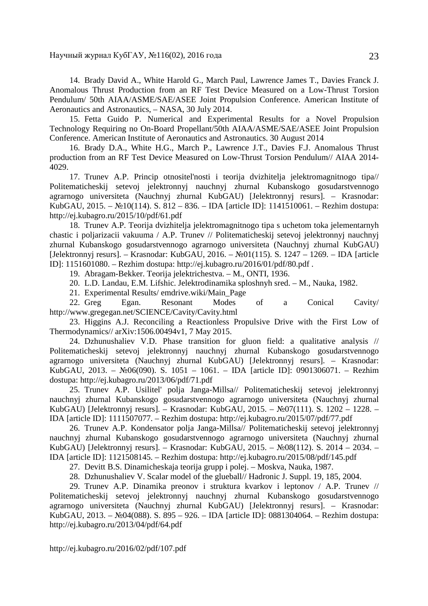14. Brady David A., White Harold G., March Paul, Lawrence James T., Davies Franck J. Anomalous Thrust Production from an RF Test Device Measured on a Low-Thrust Torsion Pendulum/ 50th AIAA/ASME/SAE/ASEE Joint Propulsion Conference. American Institute of Aeronautics and Astronautics, – NASA, 30 July 2014.

15. Fetta Guido P. Numerical and Experimental Results for a Novel Propulsion Technology Requiring no On-Board Propellant/50th AIAA/ASME/SAE/ASEE Joint Propulsion Conference. American Institute of Aeronautics and Astronautics. 30 August 2014

16. Brady D.A., White H.G., March P., Lawrence J.T., Davies F.J. Anomalous Thrust production from an RF Test Device Measured on Low-Thrust Torsion Pendulum// AIAA 2014- 4029.

17. Trunev A.P. Princip otnositel'nosti i teorija dvizhitelja jelektromagnitnogo tipa// Politematicheskij setevoj jelektronnyj nauchnyj zhurnal Kubanskogo gosudarstvennogo agrarnogo universiteta (Nauchnyj zhurnal KubGAU) [Jelektronnyj resurs]. – Krasnodar: KubGAU, 2015. – №10(114). S. 812 – 836. – IDA [article ID]: 1141510061. – Rezhim dostupa: http://ej.kubagro.ru/2015/10/pdf/61.pdf

18. Trunev A.P. Teorija dvizhitelja jelektromagnitnogo tipa s uchetom toka jelementarnyh chastic i poljarizacii vakuuma / A.P. Trunev // Politematicheskij setevoj jelektronnyj nauchnyj zhurnal Kubanskogo gosudarstvennogo agrarnogo universiteta (Nauchnyj zhurnal KubGAU) [Jelektronnyj resurs]. – Krasnodar: KubGAU, 2016. – №01(115). S. 1247 – 1269. – IDA [article ID]: 1151601080. – Rezhim dostupa: http://ej.kubagro.ru/2016/01/pdf/80.pdf .

19. Abragam-Bekker. Teorija jelektrichestva. – M., ONTI, 1936.

20. L.D. Landau, E.M. Lifshic. Jelektrodinamika sploshnyh sred. – M., Nauka, 1982.

21. Experimental Results/ emdrive.wiki/Main\_Page

22. Greg Egan. Resonant Modes of a Conical Cavity/ http://www.gregegan.net/SCIENCE/Cavity/Cavity.html

23. Higgins A.J. Reconciling a Reactionless Propulsive Drive with the First Low of Thermodynamics// arXiv:1506.00494v1, 7 May 2015.

24. Dzhunushaliev V.D. Phase transition for gluon field: a qualitative analysis // Politematicheskij setevoj jelektronnyj nauchnyj zhurnal Kubanskogo gosudarstvennogo agrarnogo universiteta (Nauchnyj zhurnal KubGAU) [Jelektronnyj resurs]. – Krasnodar: KubGAU, 2013. – №06(090). S. 1051 – 1061. – IDA [article ID]: 0901306071. – Rezhim dostupa: http://ej.kubagro.ru/2013/06/pdf/71.pdf

25. Trunev A.P. Usilitel' polja Janga-Millsa// Politematicheskij setevoj jelektronnyj nauchnyj zhurnal Kubanskogo gosudarstvennogo agrarnogo universiteta (Nauchnyj zhurnal KubGAU) [Jelektronnyj resurs]. – Krasnodar: KubGAU, 2015. – №07(111). S. 1202 – 1228. – IDA [article ID]: 1111507077. – Rezhim dostupa: http://ej.kubagro.ru/2015/07/pdf/77.pdf

26. Trunev A.P. Kondensator polja Janga-Millsa// Politematicheskij setevoj jelektronnyj nauchnyj zhurnal Kubanskogo gosudarstvennogo agrarnogo universiteta (Nauchnyj zhurnal KubGAU) [Jelektronnyj resurs]. – Krasnodar: KubGAU, 2015. – №08(112). S. 2014 – 2034. – IDA [article ID]: 1121508145. – Rezhim dostupa: http://ej.kubagro.ru/2015/08/pdf/145.pdf

27. Devitt B.S. Dinamicheskaja teorija grupp i polej. – Moskva, Nauka, 1987.

28. Dzhunushaliev V. Scalar model of the glueball// Hadronic J. Suppl. 19, 185, 2004.

29. Trunev A.P. Dinamika preonov i struktura kvarkov i leptonov / A.P. Trunev // Politematicheskij setevoj jelektronnyj nauchnyj zhurnal Kubanskogo gosudarstvennogo agrarnogo universiteta (Nauchnyj zhurnal KubGAU) [Jelektronnyj resurs]. – Krasnodar: KubGAU, 2013. – №04(088). S. 895 – 926. – IDA [article ID]: 0881304064. – Rezhim dostupa: http://ej.kubagro.ru/2013/04/pdf/64.pdf